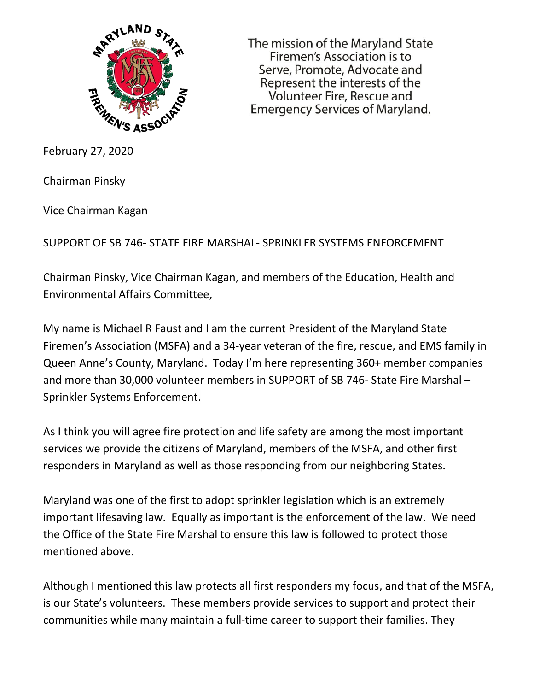

The mission of the Maryland State Firemen's Association is to Serve, Promote, Advocate and Represent the interests of the Volunteer Fire, Rescue and **Emergency Services of Maryland.** 

February 27, 2020

Chairman Pinsky

Vice Chairman Kagan

SUPPORT OF SB 746- STATE FIRE MARSHAL- SPRINKLER SYSTEMS ENFORCEMENT

Chairman Pinsky, Vice Chairman Kagan, and members of the Education, Health and Environmental Affairs Committee,

My name is Michael R Faust and I am the current President of the Maryland State Firemen's Association (MSFA) and a 34-year veteran of the fire, rescue, and EMS family in Queen Anne's County, Maryland. Today I'm here representing 360+ member companies and more than 30,000 volunteer members in SUPPORT of SB 746- State Fire Marshal – Sprinkler Systems Enforcement.

As I think you will agree fire protection and life safety are among the most important services we provide the citizens of Maryland, members of the MSFA, and other first responders in Maryland as well as those responding from our neighboring States.

Maryland was one of the first to adopt sprinkler legislation which is an extremely important lifesaving law. Equally as important is the enforcement of the law. We need the Office of the State Fire Marshal to ensure this law is followed to protect those mentioned above.

Although I mentioned this law protects all first responders my focus, and that of the MSFA, is our State's volunteers. These members provide services to support and protect their communities while many maintain a full-time career to support their families. They